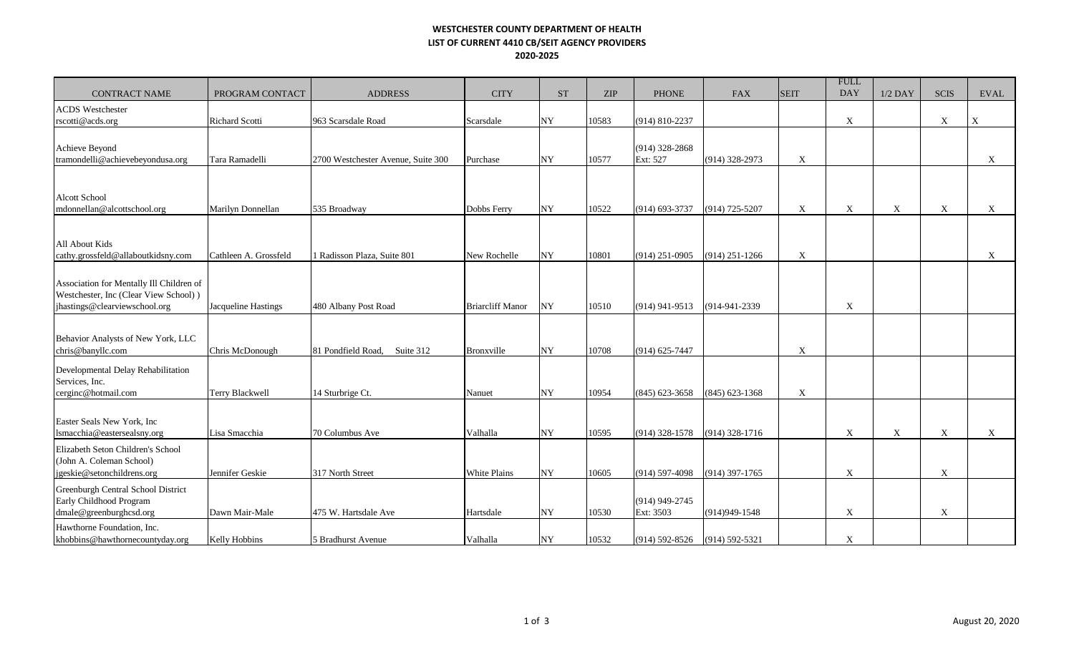## **WESTCHESTER COUNTY DEPARTMENT OF HEALTH LIST OF CURRENT 4410 CB/SEIT AGENCY PROVIDERS 2020-2025**

| <b>CONTRACT NAME</b>                                                                                               | PROGRAM CONTACT            | <b>ADDRESS</b>                     | <b>CITY</b>             | <b>ST</b>  | <b>ZIP</b> | <b>PHONE</b>                  | <b>FAX</b>       | <b>SEIT</b> | <b>FULL</b><br><b>DAY</b> | $1/2$ DAY   | <b>SCIS</b>       | <b>EVAL</b>               |
|--------------------------------------------------------------------------------------------------------------------|----------------------------|------------------------------------|-------------------------|------------|------------|-------------------------------|------------------|-------------|---------------------------|-------------|-------------------|---------------------------|
| <b>ACDS</b> Westchester                                                                                            |                            |                                    |                         |            |            |                               |                  |             |                           |             |                   |                           |
| rscotti@acds.org                                                                                                   | <b>Richard Scotti</b>      | 963 Scarsdale Road                 | Scarsdale               | NY         | 10583      | (914) 810-2237                |                  |             | X                         |             | X                 | $\boldsymbol{\mathrm{X}}$ |
| Achieve Beyond<br>tramondelli@achievebeyondusa.org                                                                 | Tara Ramadelli             | 2700 Westchester Avenue, Suite 300 | Purchase                | NY         | 10577      | $(914)$ 328-2868<br>Ext: 527  | (914) 328-2973   | X           |                           |             |                   | X                         |
|                                                                                                                    |                            |                                    |                         |            |            |                               |                  |             |                           |             |                   |                           |
| Alcott School<br>mdonnellan@alcottschool.org                                                                       | Marilyn Donnellan          | 535 Broadway                       | Dobbs Ferry             | <b>NY</b>  | 10522      | (914) 693-3737                | (914) 725-5207   | $\mathbf X$ | $\boldsymbol{\mathrm{X}}$ | $\mathbf X$ | $\mathbf{X}$      | $\boldsymbol{\mathrm{X}}$ |
|                                                                                                                    |                            |                                    |                         |            |            |                               |                  |             |                           |             |                   |                           |
| All About Kids<br>cathy.grossfeld@allaboutkidsny.com                                                               | Cathleen A. Grossfeld      | 1 Radisson Plaza, Suite 801        | New Rochelle            | NY         | 10801      | $(914)$ 251-0905              | $(914)$ 251-1266 | X           |                           |             |                   | $\mathbf X$               |
| Association for Mentally Ill Children of<br>Westchester, Inc (Clear View School))<br>jhastings@clearviewschool.org | <b>Jacqueline Hastings</b> | 480 Albany Post Road               | <b>Briarcliff Manor</b> | NY         | 10510      | $(914)$ 941-9513              | (914-941-2339)   |             | $\boldsymbol{\mathrm{X}}$ |             |                   |                           |
|                                                                                                                    |                            |                                    |                         |            |            |                               |                  |             |                           |             |                   |                           |
| Behavior Analysts of New York, LLC<br>chris@banyllc.com                                                            | Chris McDonough            | 81 Pondfield Road.<br>Suite 312    | <b>Bronxville</b>       | NY         | 10708      | (914) 625-7447                |                  | $\mathbf X$ |                           |             |                   |                           |
| Developmental Delay Rehabilitation<br>Services, Inc.<br>cerginc@hotmail.com                                        | <b>Terry Blackwell</b>     | 14 Sturbrige Ct.                   | Nanuet                  | NY         | 10954      | $(845) 623 - 3658$            | $(845)$ 623-1368 | X           |                           |             |                   |                           |
|                                                                                                                    |                            |                                    |                         |            |            |                               |                  |             |                           |             |                   |                           |
| Easter Seals New York, Inc.<br>lsmacchia@eastersealsny.org                                                         | Lisa Smacchia              | 70 Columbus Ave                    | Valhalla                | NY         | 10595      | $(914)$ 328-1578              | $(914)$ 328-1716 |             | $\mathbf X$               | $\mathbf X$ | $X_{\mathcal{I}}$ | $\mathbf X$               |
| Elizabeth Seton Children's School<br>(John A. Coleman School)<br>igeskie@setonchildrens.org                        | Jennifer Geskie            | 317 North Street                   | White Plains            | NY         | 10605      | $(914)$ 597-4098              | $(914)$ 397-1765 |             | $\mathbf X$               |             | X                 |                           |
| Greenburgh Central School District<br>Early Childhood Program<br>dmale@greenburghcsd.org                           | Dawn Mair-Male             | 475 W. Hartsdale Ave               | Hartsdale               | NY         | 10530      | $(914)$ 949-2745<br>Ext: 3503 | (914) 949-1548   |             | X                         |             | X                 |                           |
| Hawthorne Foundation, Inc.<br>khobbins@hawthornecountyday.org                                                      | Kelly Hobbins              | 5 Bradhurst Avenue                 | Valhalla                | ${\bf NY}$ | 10532      | (914) 592-8526 (914) 592-5321 |                  |             | $\mathbf X$               |             |                   |                           |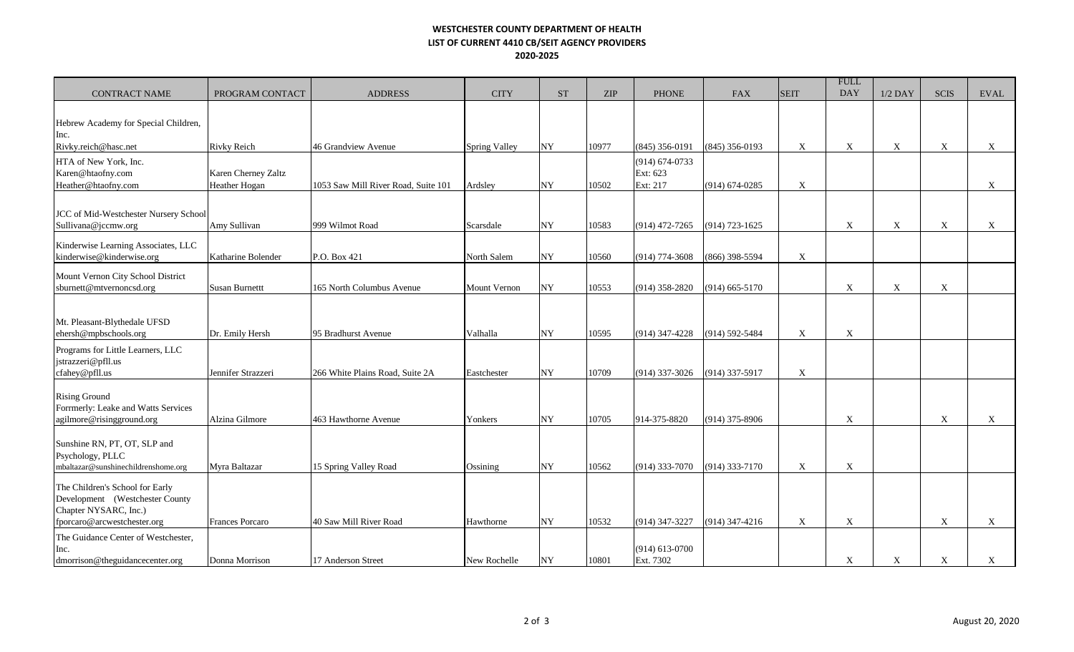## **WESTCHESTER COUNTY DEPARTMENT OF HEALTH LIST OF CURRENT 4410 CB/SEIT AGENCY PROVIDERS 2020-2025**

| <b>CONTRACT NAME</b>                                                                                                       | PROGRAM CONTACT                      | <b>ADDRESS</b>                      | <b>CITY</b>          | <b>ST</b>  | <b>ZIP</b> | <b>PHONE</b>                               | <b>FAX</b>         | <b>SEIT</b> | <b>FULL</b><br><b>DAY</b> | $1/2$ DAY   | <b>SCIS</b> | <b>EVAL</b>               |
|----------------------------------------------------------------------------------------------------------------------------|--------------------------------------|-------------------------------------|----------------------|------------|------------|--------------------------------------------|--------------------|-------------|---------------------------|-------------|-------------|---------------------------|
| Hebrew Academy for Special Children,                                                                                       |                                      |                                     |                      |            |            |                                            |                    |             |                           |             |             |                           |
| Inc.<br>Rivky.reich@hasc.net                                                                                               | <b>Rivky Reich</b>                   | 46 Grandview Avenue                 | <b>Spring Valley</b> | NY         | 10977      | $(845)$ 356-0191                           | (845) 356-0193     | X           | X                         | X           | X           | X                         |
| HTA of New York, Inc.<br>Karen@htaofny.com<br>Heather@htaofny.com                                                          | Karen Cherney Zaltz<br>Heather Hogan | 1053 Saw Mill River Road, Suite 101 | Ardsley              | <b>NY</b>  | 10502      | $(914) 674 - 0733$<br>Ext: 623<br>Ext: 217 | $(914) 674 - 0285$ | X           |                           |             |             | $\boldsymbol{\mathrm{X}}$ |
| JCC of Mid-Westchester Nursery School<br>Sullivana@jccmw.org                                                               | Amy Sullivan                         | 999 Wilmot Road                     | Scarsdale            | NY         | 10583      | $(914)$ 472-7265                           | $(914) 723 - 1625$ |             | $\boldsymbol{\mathrm{X}}$ | $\mathbf X$ | X           | $\boldsymbol{\mathrm{X}}$ |
| Kinderwise Learning Associates, LLC<br>kinderwise@kinderwise.org                                                           | Katharine Bolender                   | P.O. Box 421                        | North Salem          | NY         | 10560      | $(914) 774 - 3608$                         | (866) 398-5594     | X           |                           |             |             |                           |
| Mount Vernon City School District<br>sburnett@mtvernoncsd.org                                                              | <b>Susan Burnettt</b>                | 165 North Columbus Avenue           | Mount Vernon         | NY         | 10553      | $(914)$ 358-2820                           | $(914)$ 665-5170   |             | $\mathbf X$               | $\mathbf X$ | X           |                           |
| Mt. Pleasant-Blythedale UFSD<br>ehersh@mpbschools.org                                                                      | Dr. Emily Hersh                      | 95 Bradhurst Avenue                 | Valhalla             | NY         | 10595      | $(914)$ 347-4228                           | (914) 592-5484     | $\mathbf X$ | $\mathbf X$               |             |             |                           |
| Programs for Little Learners, LLC<br>jstrazzeri@pfll.us<br>cfahey@pfll.us                                                  | Jennifer Strazzeri                   | 266 White Plains Road, Suite 2A     | Eastchester          | NY         | 10709      | (914) 337-3026                             | (914) 337-5917     | X           |                           |             |             |                           |
| <b>Rising Ground</b><br>Forrmerly: Leake and Watts Services<br>agilmore@risingground.org                                   | Alzina Gilmore                       | 463 Hawthorne Avenue                | Yonkers              | ${\bf NY}$ | 10705      | 914-375-8820                               | $(914)$ 375-8906   |             | $\boldsymbol{\mathrm{X}}$ |             | X           | $\mathbf X$               |
| Sunshine RN, PT, OT, SLP and<br>Psychology, PLLC<br>mbaltazar@sunshinechildrenshome.org                                    | Myra Baltazar                        | 15 Spring Valley Road               | Ossining             | <b>NY</b>  | 10562      | $(914)$ 333-7070                           | (914) 333-7170     | X           | X                         |             |             |                           |
| The Children's School for Early<br>Development (Westchester County<br>Chapter NYSARC, Inc.)<br>fporcaro@arcwestchester.org | <b>Frances Porcaro</b>               | 40 Saw Mill River Road              | Hawthorne            | ${\bf NY}$ | 10532      | (914) 347-3227                             | $(914)$ 347-4216   | X           | $\mathbf X$               |             | X           | $\boldsymbol{\mathrm{X}}$ |
| The Guidance Center of Westchester,<br>Inc.<br>dmorrison@theguidancecenter.org                                             | Donna Morrison                       | 17 Anderson Street                  | New Rochelle         | NY         | 10801      | $(914) 613 - 0700$<br>Ext. 7302            |                    |             | $\mathbf{X}$              | $\mathbf X$ | X           | $\mathbf{X}$              |